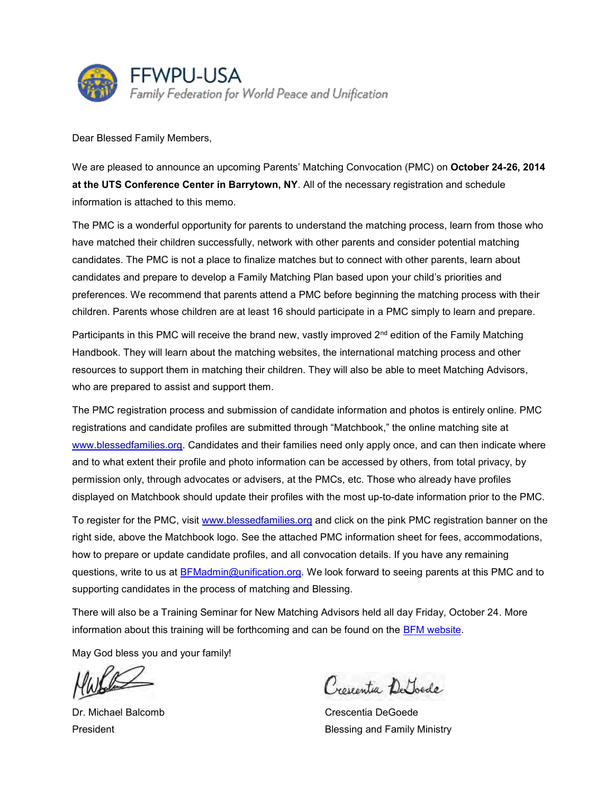

Dear Blessed Family Members,

We are pleased to announce an upcoming Parents' Matching Convocation (PMC) on **October 24-26, 2014 at the UTS Conference Center in Barrytown, NY**. All of the necessary registration and schedule information is attached to this memo.

The PMC is a wonderful opportunity for parents to understand the matching process, learn from those who have matched their children successfully, network with other parents and consider potential matching candidates. The PMC is not a place to finalize matches but to connect with other parents, learn about candidates and prepare to develop a Family Matching Plan based upon your child's priorities and preferences. We recommend that parents attend a PMC before beginning the matching process with their children. Parents whose children are at least 16 should participate in a PMC simply to learn and prepare.

Participants in this PMC will receive the brand new, vastly improved 2<sup>nd</sup> edition of the Family Matching Handbook. They will learn about the matching websites, the international matching process and other resources to support them in matching their children. They will also be able to meet Matching Advisors, who are prepared to assist and support them.

The PMC registration process and submission of candidate information and photos is entirely online. PMC registrations and candidate profiles are submitted through "Matchbook," the online matching site at www.blessedfamilies.org. Candidates and their families need only apply once, and can then indicate where and to what extent their profile and photo information can be accessed by others, from total privacy, by permission only, through advocates or advisers, at the PMCs, etc. Those who already have profiles displayed on Matchbook should update their profiles with the most up-to-date information prior to the PMC.

To register for the PMC, visit www.blessedfamilies.org and click on the pink PMC registration banner on the right side, above the Matchbook logo. See the attached PMC information sheet for fees, accommodations, how to prepare or update candidate profiles, and all convocation details. If you have any remaining questions, write to us at BFMadmin@unification.org. We look forward to seeing parents at this PMC and to supporting candidates in the process of matching and Blessing.

There will also be a Training Seminar for New Matching Advisors held all day Friday, October 24. More information about this training will be forthcoming and can be found on the BFM website.

May God bless you and your family!

Croscentia De Toede

Dr. Michael Balcomb Crescentia DeGoede President **Blessing and Family Ministry**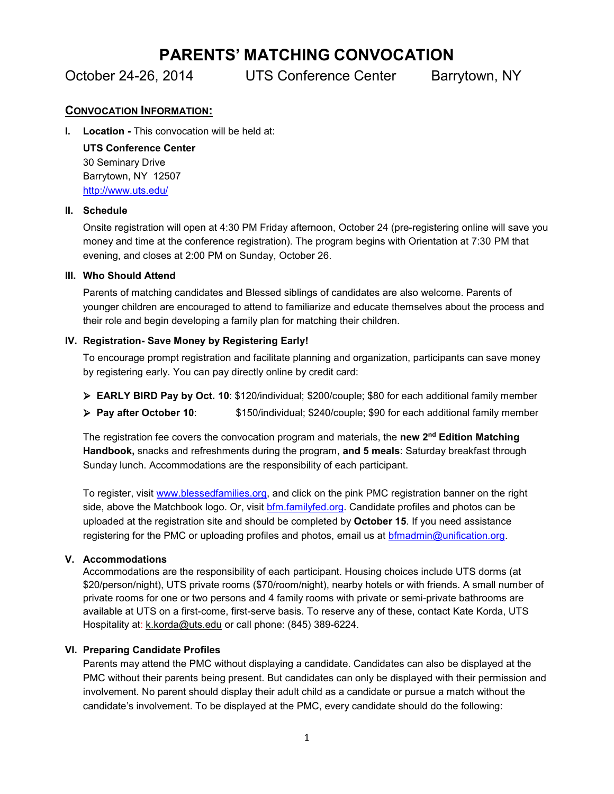# **PARENTS' MATCHING CONVOCATION**

October 24-26, 2014 UTS Conference Center Barrytown, NY

## **CONVOCATION INFORMATION:**

**I.** Location - This convocation will be held at:

**UTS Conference Center** 30 Seminary Drive Barrytown, NY 12507 http://www.uts.edu/

#### **II. Schedule**

Onsite registration will open at 4:30 PM Friday afternoon, October 24 (pre-registering online will save you money and time at the conference registration). The program begins with Orientation at 7:30 PM that evening, and closes at 2:00 PM on Sunday, October 26.

#### **III. Who Should Attend**

Parents of matching candidates and Blessed siblings of candidates are also welcome. Parents of younger children are encouraged to attend to familiarize and educate themselves about the process and their role and begin developing a family plan for matching their children.

## **IV. Registration- Save Money by Registering Early!**

To encourage prompt registration and facilitate planning and organization, participants can save money by registering early. You can pay directly online by credit card:

- **EARLY BIRD Pay by Oct. 10**: \$120/individual; \$200/couple; \$80 for each additional family member
- **Pay after October 10**: \$150/individual; \$240/couple; \$90 for each additional family member

The registration fee covers the convocation program and materials, the **new 2nd Edition Matching Handbook,** snacks and refreshments during the program, **and 5 meals**: Saturday breakfast through Sunday lunch. Accommodations are the responsibility of each participant.

To register, visit www.blessedfamilies.org, and click on the pink PMC registration banner on the right side, above the Matchbook logo. Or, visit bfm.familyfed.org. Candidate profiles and photos can be uploaded at the registration site and should be completed by **October 15**. If you need assistance registering for the PMC or uploading profiles and photos, email us at bfmadmin@unification.org.

## **V. Accommodations**

Accommodations are the responsibility of each participant. Housing choices include UTS dorms (at \$20/person/night), UTS private rooms (\$70/room/night), nearby hotels or with friends. A small number of private rooms for one or two persons and 4 family rooms with private or semi-private bathrooms are available at UTS on a first-come, first-serve basis. To reserve any of these, contact Kate Korda, UTS Hospitality at: k.korda@uts.edu or call phone: (845) 389-6224.

## **VI. Preparing Candidate Profiles**

Parents may attend the PMC without displaying a candidate. Candidates can also be displayed at the PMC without their parents being present. But candidates can only be displayed with their permission and involvement. No parent should display their adult child as a candidate or pursue a match without the candidate's involvement. To be displayed at the PMC, every candidate should do the following: